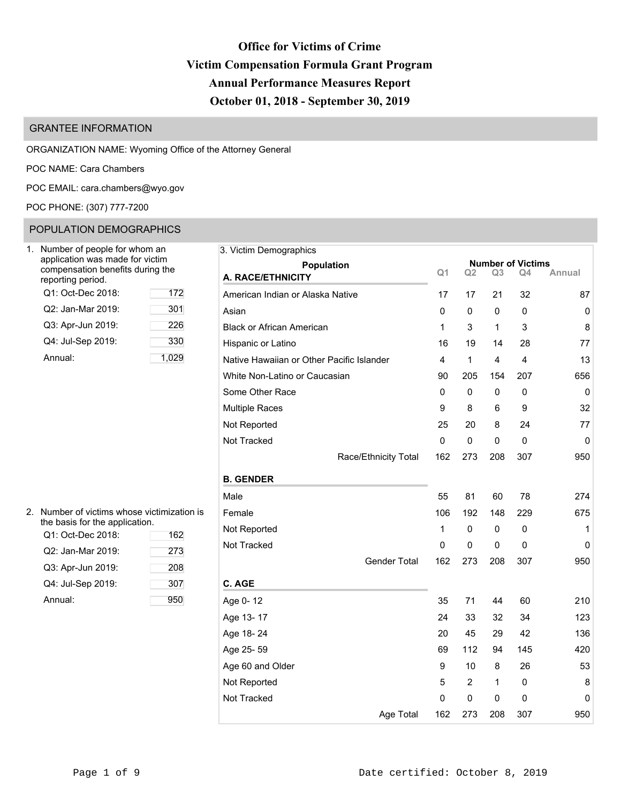# **Office for Victims of Crime Victim Compensation Formula Grant Program Annual Performance Measures Report October 01, 2018 - September 30, 2019**

# GRANTEE INFORMATION

ORGANIZATION NAME: Wyoming Office of the Attorney General

POC NAME: Cara Chambers

POC EMAIL: [cara.chambers@wyo.gov](mailto:cara.chambers@wyo.gov)

POC PHONE: (307) 777-7200

# POPULATION DEMOGRAPHICS

| Number of people for whom an<br>application was made for victim<br>compensation benefits during the<br>reporting period. |     |
|--------------------------------------------------------------------------------------------------------------------------|-----|
| Q1: Oct-Dec 2018:                                                                                                        | 172 |
| Q2: Jan-Mar 2019:                                                                                                        | 301 |
| Q3: Apr-Jun 2019:                                                                                                        | 226 |
| Q4: Jul-Sep 2019:                                                                                                        | 330 |
| Annual:                                                                                                                  |     |

| Jumber of people for whom an                                                            | 3. Victim Demographics                    |                |                |                |                                |           |
|-----------------------------------------------------------------------------------------|-------------------------------------------|----------------|----------------|----------------|--------------------------------|-----------|
| application was made for victim<br>compensation benefits during the<br>eporting period. | <b>Population</b><br>A. RACE/ETHNICITY    | Q <sub>1</sub> | Q <sub>2</sub> | Q <sub>3</sub> | <b>Number of Victims</b><br>Q4 | Annual    |
| Q1: Oct-Dec 2018:<br>172                                                                | American Indian or Alaska Native          | 17             | 17             | 21             | 32                             | 87        |
| Q2: Jan-Mar 2019:<br>301                                                                | Asian                                     | 0              | 0              | 0              | 0                              | $\pmb{0}$ |
| 226<br>Q3: Apr-Jun 2019:                                                                | <b>Black or African American</b>          | 1              | 3              | 1              | 3                              | 8         |
| 330<br>Q4: Jul-Sep 2019:                                                                | Hispanic or Latino                        | 16             | 19             | 14             | 28                             | 77        |
| 1,029<br>Annual:                                                                        | Native Hawaiian or Other Pacific Islander | 4              | $\mathbf{1}$   | 4              | 4                              | 13        |
|                                                                                         | White Non-Latino or Caucasian             | 90             | 205            | 154            | 207                            | 656       |
|                                                                                         | Some Other Race                           | 0              | 0              | 0              | 0                              | 0         |
|                                                                                         | <b>Multiple Races</b>                     | 9              | 8              | 6              | 9                              | 32        |
|                                                                                         | Not Reported                              | 25             | 20             | 8              | 24                             | 77        |
|                                                                                         | Not Tracked                               | $\mathbf 0$    | 0              | $\mathbf 0$    | $\Omega$                       | 0         |
|                                                                                         | Race/Ethnicity Total                      | 162            | 273            | 208            | 307                            | 950       |
|                                                                                         | <b>B. GENDER</b>                          |                |                |                |                                |           |
|                                                                                         | Male                                      | 55             | 81             | 60             | 78                             | 274       |
| Number of victims whose victimization is                                                | Female                                    | 106            | 192            | 148            | 229                            | 675       |
| he basis for the application.<br>Q1: Oct-Dec 2018:<br>162                               | Not Reported                              | 1              | 0              | 0              | 0                              | 1         |
| Q2: Jan-Mar 2019:<br>273                                                                | Not Tracked                               | 0              | $\mathbf 0$    | 0              | 0                              | 0         |
| Q3: Apr-Jun 2019:<br>208                                                                | <b>Gender Total</b>                       | 162            | 273            | 208            | 307                            | 950       |
| Q4: Jul-Sep 2019:<br>307                                                                | C. AGE                                    |                |                |                |                                |           |
| 950<br>Annual:                                                                          | Age 0-12                                  | 35             | 71             | 44             | 60                             | 210       |
|                                                                                         | Age 13-17                                 | 24             | 33             | 32             | 34                             | 123       |
|                                                                                         | Age 18-24                                 | 20             | 45             | 29             | 42                             | 136       |
|                                                                                         | Age 25-59                                 | 69             | 112            | 94             | 145                            | 420       |
|                                                                                         | Age 60 and Older                          | 9              | 10             | 8              | 26                             | 53        |
|                                                                                         | Not Reported                              | 5              | $\overline{2}$ | 1              | 0                              | 8         |
|                                                                                         | Not Tracked                               | 0              | 0              | 0              | 0                              | 0         |
|                                                                                         | Age Total                                 | 162            | 273            | 208            | 307                            | 950       |

| 2. Number of victims whose victimization is |
|---------------------------------------------|
| the basis for the application.              |

| Q1: Oct-Dec 2018: | 162 | 1101110p |
|-------------------|-----|----------|
| Q2: Jan-Mar 2019: | 273 | Not Trac |
| Q3: Apr-Jun 2019: | 208 |          |
| Q4: Jul-Sep 2019: | 307 | C. AGE   |
| Annual:           | 950 | Age 0-1  |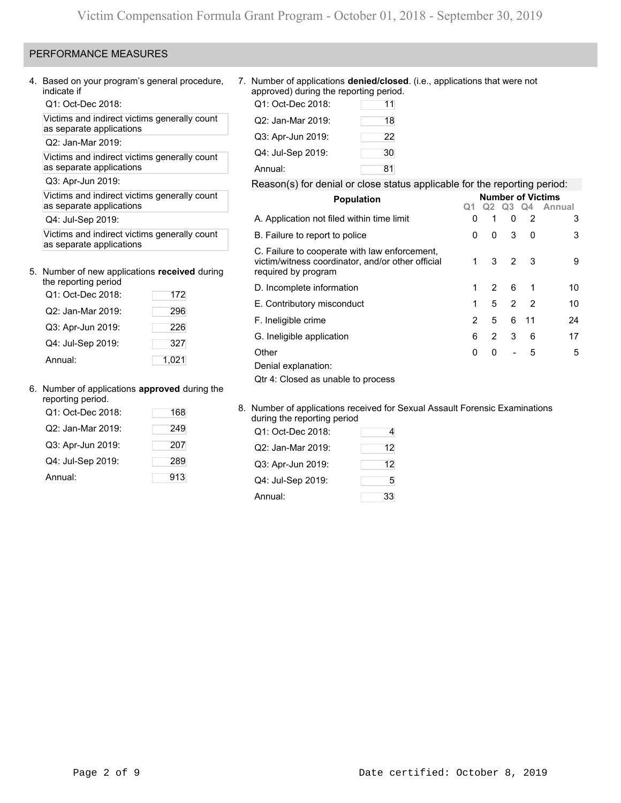# PERFORMANCE MEASURES

Q1: Oct-Dec 2018:

Victims and indirect victims generally count as separate applications

Q2: Jan-Mar 2019:

Victims and indirect victims generally count as separate applications

# 5. Number of new applications **received** during the reporting period

| the reporting period |       |
|----------------------|-------|
| Q1: Oct-Dec 2018:    | 172   |
| Q2: Jan-Mar 2019:    | 296   |
| Q3: Apr-Jun 2019:    | 226   |
| Q4: Jul-Sep 2019:    | 327   |
| Annual:              | 1,021 |

## 6. Number of applications **approved** during the

| reporting period. |     |                                                                       |    |
|-------------------|-----|-----------------------------------------------------------------------|----|
| Q1: Oct-Dec 2018: | 168 | 8. Number of applications received for<br>during the reporting period |    |
| Q2: Jan-Mar 2019: | 249 | Q1: Oct-Dec 2018:                                                     | 4  |
| Q3: Apr-Jun 2019: | 207 | Q2: Jan-Mar 2019:                                                     | 12 |
| Q4: Jul-Sep 2019: | 289 | Q3: Apr-Jun 2019:                                                     | 12 |
| Annual:           | 913 | Q4: Jul-Sep 2019:                                                     | 5  |

4. Based on your program's general procedure, 7. Number of applications **denied/closed**. (i.e., applications that were not approved) during the reporting period.

| Q1: Oct-Dec 2018: | 11 |
|-------------------|----|
| Q2: Jan-Mar 2019: | 18 |
| Q3: Apr-Jun 2019: | 22 |
| Q4: Jul-Sep 2019: | 30 |
| Annual:           | 81 |

# Q3: Apr-Jun 2019: Reason(s) for denial or close status applicable for the reporting period:

| Victims and indirect victims generally count<br>as separate applications<br>Q4: Jul-Sep 2019:<br>Victims and indirect victims generally count<br>as separate applications<br>Number of new applications received during<br>the reporting period<br>Q1: Oct-Dec 2018:<br>172<br>Q2: Jan-Mar 2019:<br>296 |       | <b>Population</b>                                                                                                         | <b>Number of Victims</b> |              |                          |                |        |  |  |  |
|---------------------------------------------------------------------------------------------------------------------------------------------------------------------------------------------------------------------------------------------------------------------------------------------------------|-------|---------------------------------------------------------------------------------------------------------------------------|--------------------------|--------------|--------------------------|----------------|--------|--|--|--|
|                                                                                                                                                                                                                                                                                                         |       |                                                                                                                           |                          | Q2           | Q3                       | Q4             | Annual |  |  |  |
|                                                                                                                                                                                                                                                                                                         |       | A. Application not filed within time limit                                                                                | 0                        |              | 0                        | $\overline{2}$ | 3      |  |  |  |
|                                                                                                                                                                                                                                                                                                         |       | B. Failure to report to police                                                                                            | 0                        | $\mathbf{0}$ | 3                        | $\mathbf{0}$   | 3      |  |  |  |
|                                                                                                                                                                                                                                                                                                         |       | C. Failure to cooperate with law enforcement,<br>victim/witness coordinator, and/or other official<br>required by program |                          | 3            | 2                        | - 3            | 9      |  |  |  |
|                                                                                                                                                                                                                                                                                                         |       | D. Incomplete information                                                                                                 |                          | 2            | 6                        |                | 10     |  |  |  |
|                                                                                                                                                                                                                                                                                                         |       | E. Contributory misconduct                                                                                                |                          | 5            |                          | $2 \quad 2$    | 10     |  |  |  |
|                                                                                                                                                                                                                                                                                                         |       | F. Ineligible crime                                                                                                       | $\overline{2}$           | 5            | 6                        | -11            | 24     |  |  |  |
| Q3: Apr-Jun 2019:                                                                                                                                                                                                                                                                                       | 226   |                                                                                                                           |                          |              |                          |                |        |  |  |  |
| Q4: Jul-Sep 2019:                                                                                                                                                                                                                                                                                       | 327   | G. Ineligible application                                                                                                 | 6                        | 2            | 3                        | 6              | 17     |  |  |  |
|                                                                                                                                                                                                                                                                                                         |       | Other                                                                                                                     | 0                        | $\Omega$     | $\overline{\phantom{a}}$ | 5              | 5      |  |  |  |
| Annual:                                                                                                                                                                                                                                                                                                 | 1,021 | Denial explanation:                                                                                                       |                          |              |                          |                |        |  |  |  |
|                                                                                                                                                                                                                                                                                                         |       | Qtr 4: Closed as unable to process                                                                                        |                          |              |                          |                |        |  |  |  |
|                                                                                                                                                                                                                                                                                                         |       |                                                                                                                           |                          |              |                          |                |        |  |  |  |

8. Number of applications received for Sexual Assault Forensic Examinations during the reporting period

| QZ. Jdii-Mdi ZUTY. | 249 | Q1: Oct-Dec 2018: |    |
|--------------------|-----|-------------------|----|
| Q3: Apr-Jun 2019:  | 207 | Q2: Jan-Mar 2019: | 12 |
| Q4: Jul-Sep 2019:  | 289 | Q3: Apr-Jun 2019: | 12 |
| Annual:            | 913 | Q4: Jul-Sep 2019: | 5  |
|                    |     | Annual:           | 33 |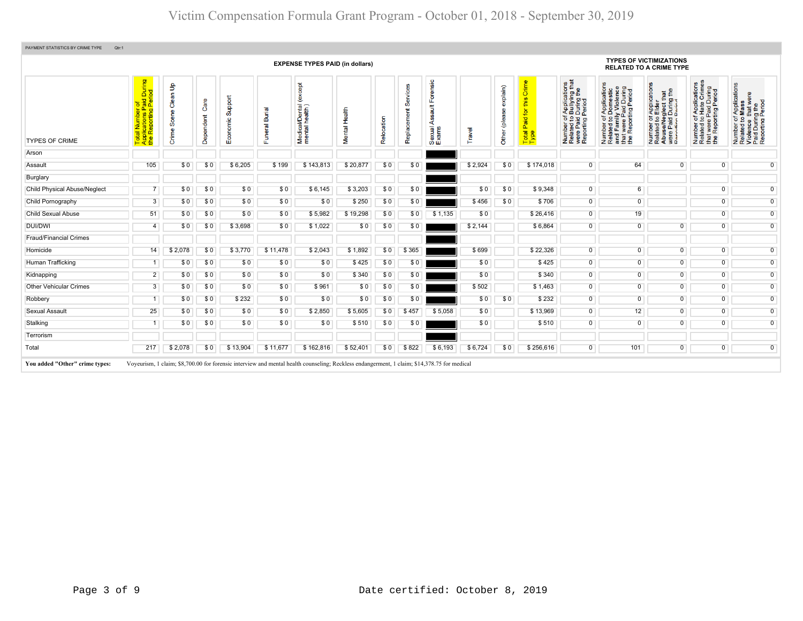|                               |                                                                                                  |                                          |                   |                            |                                 | <b>EXPENSE TYPES PAID (in dollars)</b>                  |               |            |                         |                                       |         |                           |                                                                              |                                                                                                                                  |                                                                                                                       | <b>TYPES OF VICTIMIZATIONS</b><br><b>RELATED TO A CRIME TYPE</b>                                                                |                                                                                                                        |                                                                                                        |
|-------------------------------|--------------------------------------------------------------------------------------------------|------------------------------------------|-------------------|----------------------------|---------------------------------|---------------------------------------------------------|---------------|------------|-------------------------|---------------------------------------|---------|---------------------------|------------------------------------------------------------------------------|----------------------------------------------------------------------------------------------------------------------------------|-----------------------------------------------------------------------------------------------------------------------|---------------------------------------------------------------------------------------------------------------------------------|------------------------------------------------------------------------------------------------------------------------|--------------------------------------------------------------------------------------------------------|
| <b>TYPES OF CRIME</b>         | During<br>iod<br>i <mark>ron</mark><br>Paid L<br>Reporting<br>otal<br>polic<br><b>Top</b><br>App | $\mathbf{e}$<br>등<br>Ö<br>Scene<br>Crime | Care<br>Dependent | Support<br>nomic<br>8<br>ш | <b>Burial</b><br>eral<br>S<br>ш | <b>bept</b><br>i/Dental<br>health)<br>Medical<br>mental | Mental Health | Relocation | Services<br>Replacement | orensic<br>≝<br>긂<br>Sexual.<br>Exams | Travel  | explain)<br>Other (please | Crime<br>this<br>aid for<br>$\mathbf{a}$<br><b>otal</b><br>$\vdash$ $\vdash$ | f Applications<br>b Bullying that<br>Period<br>Period<br>Number of <i>I</i><br>Related to <b>I</b><br>were Paid L<br>Reporting P | Number of Applications<br>Related to Domestic<br>and Family Violence<br>that were Paid During<br>the Reporting Period | r Applications<br>• Elder<br>During the<br>During the<br><b>Display</b><br>Number<br>Related<br>Abuse/N<br>were Pai<br>Renortin | <b>Applications</b><br>Hate Crimes<br>were Paid During<br>Reporting Period<br>$\frac{1}{2}$<br>Number<br>Related<br>Ĕ£ | Number of Applications<br>Related to Mass<br>Violence that were<br>Paid During the<br>Reporting Period |
| Arson                         |                                                                                                  |                                          |                   |                            |                                 |                                                         |               |            |                         |                                       |         |                           |                                                                              |                                                                                                                                  |                                                                                                                       |                                                                                                                                 |                                                                                                                        |                                                                                                        |
| Assault                       | 105                                                                                              | \$0                                      | \$0               | \$6,205                    | \$199                           | \$143.813                                               | \$20,877      | \$0        | \$0                     |                                       | \$2,924 | SO.                       | \$174,018                                                                    | $\overline{0}$                                                                                                                   | 64                                                                                                                    | $\overline{0}$                                                                                                                  | $\Omega$                                                                                                               | $\overline{0}$                                                                                         |
| Burglary                      |                                                                                                  |                                          |                   |                            |                                 |                                                         |               |            |                         |                                       |         |                           |                                                                              |                                                                                                                                  |                                                                                                                       |                                                                                                                                 |                                                                                                                        |                                                                                                        |
| Child Physical Abuse/Neglect  | $\overline{7}$                                                                                   | \$0                                      | \$0               | \$0                        | \$0                             | \$6,145                                                 | \$3,203       | \$0        | \$0                     |                                       | \$0     | \$0                       | \$9,348                                                                      | $\overline{0}$                                                                                                                   | 6 <sup>1</sup>                                                                                                        |                                                                                                                                 | $\overline{0}$                                                                                                         | $\overline{0}$                                                                                         |
| Child Pornography             | 3                                                                                                | \$0                                      | \$0               | \$0                        | \$0                             | \$0                                                     | \$250         | \$0        | \$0                     |                                       | \$456   | \$0                       | \$706                                                                        | $\overline{0}$                                                                                                                   | $\overline{0}$                                                                                                        |                                                                                                                                 | $\overline{0}$                                                                                                         | $\overline{0}$                                                                                         |
| <b>Child Sexual Abuse</b>     | 51                                                                                               | \$0                                      | \$0               | \$0                        | \$0                             | \$5,982                                                 | \$19,298      | \$0        | \$0                     | \$1,135                               | \$0     |                           | \$26,416                                                                     | $\overline{0}$                                                                                                                   | 19                                                                                                                    |                                                                                                                                 | $\overline{0}$                                                                                                         | $\overline{0}$                                                                                         |
| <b>DUI/DWI</b>                | 4                                                                                                | \$0                                      | \$0               | \$3,698                    | \$0                             | \$1,022                                                 | \$0           | \$0        | \$0                     |                                       | \$2,144 |                           | \$6,864                                                                      | $\overline{0}$                                                                                                                   | $\overline{0}$                                                                                                        | $\Omega$                                                                                                                        | $\Omega$                                                                                                               | $\overline{0}$                                                                                         |
| <b>Fraud/Financial Crimes</b> |                                                                                                  |                                          |                   |                            |                                 |                                                         |               |            |                         |                                       |         |                           |                                                                              |                                                                                                                                  |                                                                                                                       |                                                                                                                                 |                                                                                                                        |                                                                                                        |
| Homicide                      | 14                                                                                               | \$2,078                                  | \$0               | \$3,770                    | \$11,478                        | \$2,043                                                 | \$1,892       | \$0        | \$365                   |                                       | \$699   |                           | \$22,326                                                                     | $\overline{0}$                                                                                                                   | $\overline{0}$                                                                                                        | $\overline{0}$                                                                                                                  | $\overline{0}$                                                                                                         | $\overline{0}$                                                                                         |
| Human Trafficking             | 1                                                                                                | \$0                                      | \$0               | \$0                        | \$0                             | \$0                                                     | \$425         | \$0        | \$0                     |                                       | \$0     |                           | \$425                                                                        | $\overline{0}$                                                                                                                   | $\overline{0}$                                                                                                        | $\overline{0}$                                                                                                                  | $\overline{0}$                                                                                                         | $\overline{0}$                                                                                         |
| Kidnapping                    | $\overline{2}$                                                                                   | \$0                                      | \$0               | \$0                        | \$0                             | \$0                                                     | \$340         | \$0        | \$0                     |                                       | \$0     |                           | \$340                                                                        | $\overline{0}$                                                                                                                   | $\overline{0}$                                                                                                        | $\overline{0}$                                                                                                                  | $\overline{0}$                                                                                                         | $\overline{0}$                                                                                         |
| <b>Other Vehicular Crimes</b> | 3                                                                                                | \$0                                      | \$0               | \$0                        | \$0                             | \$961                                                   | \$0           | \$0        | \$0                     |                                       | \$502   |                           | \$1,463                                                                      | $\overline{0}$                                                                                                                   | $\overline{0}$                                                                                                        | $\overline{0}$                                                                                                                  | $\overline{0}$                                                                                                         | $\overline{0}$                                                                                         |
| Robbery                       | 1                                                                                                | \$0                                      | \$0               | \$232                      | \$0                             | \$0                                                     | \$0           | \$0        | \$0                     |                                       | \$0     | \$0                       | \$232                                                                        | $\overline{0}$                                                                                                                   | $\overline{0}$                                                                                                        | $\overline{0}$                                                                                                                  | $\overline{0}$                                                                                                         | $\overline{0}$                                                                                         |
| Sexual Assault                | 25                                                                                               | \$0                                      | \$0               | \$0                        | \$0                             | \$2,850                                                 | \$5,605       | \$0        | \$457                   | \$5,058                               | \$0     |                           | \$13,969                                                                     | $\overline{0}$                                                                                                                   | 12                                                                                                                    | $\overline{0}$                                                                                                                  | $\overline{0}$                                                                                                         | $\overline{0}$                                                                                         |
| Stalking                      | 1                                                                                                | \$0                                      | \$0               | \$0                        | \$0                             | \$0                                                     | \$510         | \$0        | \$0                     |                                       | \$0     |                           | \$510                                                                        | $\overline{0}$                                                                                                                   | $\overline{0}$                                                                                                        | $\overline{0}$                                                                                                                  | $\overline{0}$                                                                                                         | $\overline{0}$                                                                                         |
| Terrorism                     |                                                                                                  |                                          |                   |                            |                                 |                                                         |               |            |                         |                                       |         |                           |                                                                              |                                                                                                                                  |                                                                                                                       |                                                                                                                                 |                                                                                                                        |                                                                                                        |
| Total                         | 217                                                                                              | \$2,078                                  | \$0               | \$13,904                   | \$11,677                        | \$162,816                                               | \$52,401      | \$0        | \$822                   | \$6,193                               | \$6,724 | \$0                       | \$256,616                                                                    | $\overline{0}$                                                                                                                   | 101                                                                                                                   | $\overline{0}$                                                                                                                  | $\overline{0}$                                                                                                         | $\overline{0}$                                                                                         |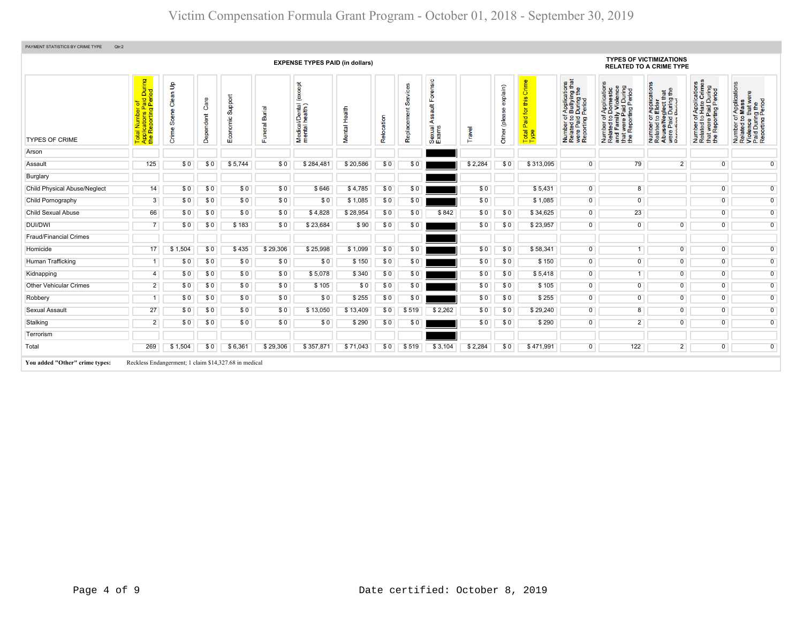|                                     |                                                                                                                                                                                                           |                                         |                   |                     |                              | <b>EXPENSE TYPES PAID (in dollars)</b>               |                 |            |                         |                                                    |         |                           |                                            |                                                                                                                                          |                                                                                                                       | <b>TYPES OF VICTIMIZATIONS</b><br><b>RELATED TO A CRIME TYPE</b>                                                                                                      |                                                                                                                               |                                                                                                        |
|-------------------------------------|-----------------------------------------------------------------------------------------------------------------------------------------------------------------------------------------------------------|-----------------------------------------|-------------------|---------------------|------------------------------|------------------------------------------------------|-----------------|------------|-------------------------|----------------------------------------------------|---------|---------------------------|--------------------------------------------|------------------------------------------------------------------------------------------------------------------------------------------|-----------------------------------------------------------------------------------------------------------------------|-----------------------------------------------------------------------------------------------------------------------------------------------------------------------|-------------------------------------------------------------------------------------------------------------------------------|--------------------------------------------------------------------------------------------------------|
| <b>TYPES OF CRIME</b>               | During<br>iod<br><u>. ত ট</u><br>$\frac{5}{2}$ $\frac{3}{2}$<br>$\mathbf{a}$<br>al Number<br>blications Pa<br>Reporting F<br>$\overline{\sigma}$ $\breve{\overline{\sigma}}$<br><u>'8 ¤</u><br><b>DEE</b> | $\mathbf{e}$<br>Clean<br>Scene<br>Crime | Care<br>Dependent | Support<br>Economic | <b>Burial</b><br>uneral<br>Œ | bept<br>B<br>(ex<br>Medical/Dental<br>mental health) | Health<br>ental | Relocation | Services<br>Replacement | ensic<br>$\frac{4}{3}$<br>⋖<br>exual<br>xams<br>மை | Travel  | explain)<br>Other (please | Crime<br>this<br>Paid for<br>Total<br>Type | f Applications<br>b Bullying that<br>  During the<br>  Period<br>Number of <i>I</i><br>Related to <b>I</b><br>were Paid L<br>Reporting P | Number of Applications<br>Related to Domestic<br>and Family Violence<br>that were Paid During<br>the Reporting Period | T Applications<br><b>S</b> Elder<br>sglect that<br>During the<br>Period<br>$\overline{5}$ $\overline{9}$<br>우프<br>Number<br>Related<br>Abusel<br>were Pai<br>Reportin | Applications<br>Hate Crimes<br>ara During<br>ting Period<br>$\frac{1}{6}$<br>t were<br>Repor<br>Number<br>Related<br>te<br>## | Number of Applications<br>Related to Mass<br>Violence that were<br>Paid During the<br>Reporting Period |
| Arson                               |                                                                                                                                                                                                           |                                         |                   |                     |                              |                                                      |                 |            |                         |                                                    |         |                           |                                            |                                                                                                                                          |                                                                                                                       |                                                                                                                                                                       |                                                                                                                               |                                                                                                        |
| Assault                             | 125                                                                                                                                                                                                       | \$0                                     | \$0               | \$5,744             | \$0                          | \$284,481                                            | \$20,586        | \$0        | \$0                     |                                                    | \$2,284 | \$0                       | \$313,095                                  | $\overline{0}$                                                                                                                           | 79                                                                                                                    | $\overline{2}$                                                                                                                                                        | $\overline{0}$                                                                                                                | $\overline{0}$                                                                                         |
| Burglary                            |                                                                                                                                                                                                           |                                         |                   |                     |                              |                                                      |                 |            |                         |                                                    |         |                           |                                            |                                                                                                                                          |                                                                                                                       |                                                                                                                                                                       |                                                                                                                               |                                                                                                        |
| <b>Child Physical Abuse/Neglect</b> | 14                                                                                                                                                                                                        | \$0                                     | \$0               | \$0                 | \$0                          | \$646                                                | \$4,785         | \$0        | \$0                     |                                                    | \$0     |                           | \$5,431                                    | $\overline{0}$                                                                                                                           | $\overline{8}$                                                                                                        |                                                                                                                                                                       | $\overline{0}$                                                                                                                | $\overline{0}$                                                                                         |
| Child Pornography                   | 3                                                                                                                                                                                                         | \$0                                     | \$0               | \$0                 | \$0                          | \$0                                                  | \$1,085         | \$0        | \$0                     |                                                    | \$0     |                           | \$1,085                                    | $\overline{0}$                                                                                                                           | $\overline{0}$                                                                                                        |                                                                                                                                                                       | $\overline{0}$                                                                                                                | $\overline{0}$                                                                                         |
| <b>Child Sexual Abuse</b>           | 66                                                                                                                                                                                                        | \$0                                     | \$0               | \$0                 | \$0                          | \$4,828                                              | \$28,954        | \$0        | \$0                     | \$842                                              | \$0     | \$0                       | \$34,625                                   | $\overline{0}$                                                                                                                           | 23                                                                                                                    |                                                                                                                                                                       | $\overline{0}$                                                                                                                | $\overline{0}$                                                                                         |
| <b>DUI/DWI</b>                      | $\overline{7}$                                                                                                                                                                                            | \$0                                     | \$0               | \$183               | \$0                          | \$23,684                                             | \$90            | \$0        | \$0                     |                                                    | \$0     | \$0                       | \$23,957                                   | $\overline{0}$                                                                                                                           | $\overline{0}$                                                                                                        | $\overline{0}$                                                                                                                                                        | $\overline{0}$                                                                                                                | $\overline{0}$                                                                                         |
| <b>Fraud/Financial Crimes</b>       |                                                                                                                                                                                                           |                                         |                   |                     |                              |                                                      |                 |            |                         |                                                    |         |                           |                                            |                                                                                                                                          |                                                                                                                       |                                                                                                                                                                       |                                                                                                                               |                                                                                                        |
| Homicide                            | 17                                                                                                                                                                                                        | \$1,504                                 | \$0               | \$435               | \$29,306                     | \$25,998                                             | \$1,099         | \$0        | \$0                     |                                                    | \$0     | \$0                       | \$58,341                                   | $\overline{0}$                                                                                                                           | 1                                                                                                                     | $\overline{0}$                                                                                                                                                        | $\overline{0}$                                                                                                                | $\overline{0}$                                                                                         |
| Human Trafficking                   | -1                                                                                                                                                                                                        | \$0                                     | \$0               | \$0                 | \$0                          | \$0                                                  | \$150           | \$0        | \$0                     |                                                    | \$0     | \$0                       | \$150                                      | $\overline{0}$                                                                                                                           | $\overline{0}$                                                                                                        | $\overline{0}$                                                                                                                                                        | $\overline{0}$                                                                                                                | $\overline{0}$                                                                                         |
| Kidnapping                          | 4                                                                                                                                                                                                         | \$0                                     | \$0               | \$0                 | \$0                          | \$5,078                                              | \$340           | \$0        | \$0                     |                                                    | \$0     | \$0                       | \$5,418                                    | $\overline{0}$                                                                                                                           | $\overline{1}$                                                                                                        | $\overline{0}$                                                                                                                                                        | $\overline{0}$                                                                                                                | $\overline{0}$                                                                                         |
| <b>Other Vehicular Crimes</b>       | $\overline{2}$                                                                                                                                                                                            | \$0                                     | \$0               | \$0                 | \$0                          | \$105                                                | \$0             | \$0        | \$0                     |                                                    | \$0     | \$0                       | \$105                                      | $\overline{0}$                                                                                                                           | $\overline{0}$                                                                                                        | $\overline{0}$                                                                                                                                                        | $\overline{0}$                                                                                                                | $\overline{0}$                                                                                         |
| Robbery                             | 1                                                                                                                                                                                                         | \$0                                     | \$0               | \$0                 | \$0                          | \$0                                                  | \$255           | \$0        | \$0                     |                                                    | \$0     | \$0                       | \$255                                      | $\overline{0}$                                                                                                                           | $\overline{0}$                                                                                                        | $\overline{0}$                                                                                                                                                        | $\overline{0}$                                                                                                                | $\overline{0}$                                                                                         |
| <b>Sexual Assault</b>               | 27                                                                                                                                                                                                        | \$0                                     | \$0               | \$0                 | \$0                          | \$13,050                                             | \$13,409        | \$0        | \$519                   | \$2,262                                            | \$0     | \$0                       | \$29,240                                   | $\overline{0}$                                                                                                                           | $\boldsymbol{8}$                                                                                                      | $\overline{0}$                                                                                                                                                        | $\overline{0}$                                                                                                                | $\overline{0}$                                                                                         |
| Stalking                            | $\overline{2}$                                                                                                                                                                                            | \$0                                     | \$0               | \$0                 | \$0                          | \$0                                                  | \$290           | \$0        | \$0                     |                                                    | \$0     | \$0                       | \$290                                      | $\overline{0}$                                                                                                                           | $\overline{2}$                                                                                                        | $\overline{0}$                                                                                                                                                        | $\overline{0}$                                                                                                                | $\overline{0}$                                                                                         |
| Terrorism                           |                                                                                                                                                                                                           |                                         |                   |                     |                              |                                                      |                 |            |                         |                                                    |         |                           |                                            |                                                                                                                                          |                                                                                                                       |                                                                                                                                                                       |                                                                                                                               |                                                                                                        |
| Total                               | 269                                                                                                                                                                                                       | \$1,504                                 | \$0               | \$6,361             | \$29,306                     | \$357,871                                            | \$71,043        | \$0        | \$519                   | \$3,104                                            | \$2,284 | \$0                       | \$471,991                                  | $\overline{0}$                                                                                                                           | 122                                                                                                                   | $\overline{2}$                                                                                                                                                        | $\overline{0}$                                                                                                                | $\overline{0}$                                                                                         |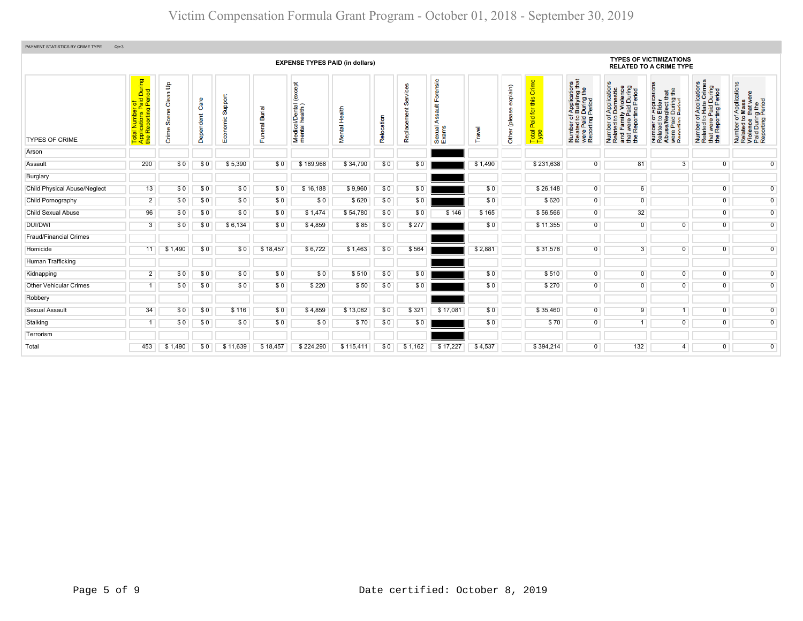| PAYMENT STATISTICS BY CRIME TYPE<br>Qtr:3 |                                                                                           |                                          |                   |                     |                |                                                         |                  |            |           |                                        |         |                           |                                                    |                                                                                                                                                   |                                                                                                                       |                                                                                                                                        |                                                                                                                                            |                                                                                                        |
|-------------------------------------------|-------------------------------------------------------------------------------------------|------------------------------------------|-------------------|---------------------|----------------|---------------------------------------------------------|------------------|------------|-----------|----------------------------------------|---------|---------------------------|----------------------------------------------------|---------------------------------------------------------------------------------------------------------------------------------------------------|-----------------------------------------------------------------------------------------------------------------------|----------------------------------------------------------------------------------------------------------------------------------------|--------------------------------------------------------------------------------------------------------------------------------------------|--------------------------------------------------------------------------------------------------------|
|                                           | <b>EXPENSE TYPES PAID (in dollars)</b>                                                    |                                          |                   |                     |                |                                                         |                  |            |           |                                        |         |                           |                                                    |                                                                                                                                                   |                                                                                                                       | <b>TYPES OF VICTIMIZATIONS</b><br><b>RELATED TO A CRIME TYPE</b>                                                                       |                                                                                                                                            |                                                                                                        |
| <b>TYPES OF CRIME</b>                     | tal Number of<br>plications Paid During<br>› Reporting Period<br>Tota<br>App <sub>l</sub> | $\mathbf{e}$<br>Clean<br>Scene<br>Crime: | Care<br>Dependent | Support<br>Economic | Burial<br>eral | <b>bept</b><br>Š,<br>Medical/Dental (<br>mental health) | Health<br>Mental | Relocation | m<br>Repi | nsic<br>₹<br>⋖<br>exual.<br>xams<br>மை | ravel   | explain)<br>Other (please | Crime<br>this<br><b>b</b><br>Paid<br>Total<br>Type | f Applications<br>b Bullying that<br>I During the<br>Period<br>$\frac{1}{9}$ $\frac{1}{9}$<br>Number of<br>Related to<br>were Paid<br>Reporting I | Number of Applications<br>Related to Domestic<br>and Family Violence<br>that were Paid During<br>the Reporting Period | TApplication<br>b Elder<br>glect that<br>During the<br>Period<br>Number 01,<br>Related to I<br>Abuse/Neg<br>were Paid I<br>Reporting R | f Applications<br>Hate Crimes<br>Paid During<br>at were Paid During<br>Peporting Period<br>$\frac{1}{6}$<br>Number<br>Related t<br>te<br># | Number of Applications<br>Related to Mass<br>Violence that were<br>Paid During the<br>Reporting Period |
| Arson                                     |                                                                                           |                                          |                   |                     |                |                                                         |                  |            |           |                                        |         |                           |                                                    |                                                                                                                                                   |                                                                                                                       |                                                                                                                                        |                                                                                                                                            |                                                                                                        |
| Assault                                   | 290                                                                                       | \$0                                      | \$0               | \$5,390             | \$0            | \$189,968                                               | \$34,790         | \$0        | \$0       |                                        | \$1,490 |                           | \$231,638                                          | $\overline{0}$                                                                                                                                    | 81                                                                                                                    | 3                                                                                                                                      | $\overline{0}$                                                                                                                             | $\overline{0}$                                                                                         |
| Burglary                                  |                                                                                           |                                          |                   |                     |                |                                                         |                  |            |           |                                        |         |                           |                                                    |                                                                                                                                                   |                                                                                                                       |                                                                                                                                        |                                                                                                                                            |                                                                                                        |
| <b>Child Physical Abuse/Neglect</b>       | 13                                                                                        | \$0                                      | \$0               | \$0                 | \$0            | \$16,188                                                | \$9,960          | \$0        | \$0       |                                        | \$0     |                           | \$26,148                                           | $\overline{0}$                                                                                                                                    | 6                                                                                                                     |                                                                                                                                        | $\overline{0}$                                                                                                                             | $\overline{0}$                                                                                         |
| Child Pornography                         | $\overline{2}$                                                                            | \$0                                      | \$0               | \$0                 | \$0            | \$0                                                     | \$620            | \$0        | \$0       |                                        | \$0     |                           | \$620                                              | $\overline{0}$                                                                                                                                    | $\overline{0}$                                                                                                        |                                                                                                                                        | $\overline{0}$                                                                                                                             | $\overline{0}$                                                                                         |
| <b>Child Sexual Abuse</b>                 | 96                                                                                        | \$0                                      | \$0               | \$0                 | \$0            | \$1,474                                                 | \$54,780         | \$0        | \$0       | \$146                                  | \$165   |                           | \$56,566                                           | $\overline{0}$                                                                                                                                    | 32 <sup>°</sup>                                                                                                       |                                                                                                                                        | $\overline{0}$                                                                                                                             | $\overline{0}$                                                                                         |
| DUI/DWI                                   | 3                                                                                         | \$0                                      | \$0               | \$6,134             | \$0            | \$4,859                                                 | \$85             | \$0        | \$277     |                                        | \$0     |                           | \$11,355                                           | $\overline{0}$                                                                                                                                    | $\overline{0}$                                                                                                        | $\overline{0}$                                                                                                                         | $\mathbf 0$                                                                                                                                | $\overline{0}$                                                                                         |
| <b>Fraud/Financial Crimes</b>             |                                                                                           |                                          |                   |                     |                |                                                         |                  |            |           |                                        |         |                           |                                                    |                                                                                                                                                   |                                                                                                                       |                                                                                                                                        |                                                                                                                                            |                                                                                                        |
| Homicide                                  | 11                                                                                        | \$1,490                                  | \$0               | \$0                 | \$18,457       | \$6,722                                                 | \$1,463          | \$0        | \$564     |                                        | \$2,881 |                           | \$31,578                                           | $\overline{0}$                                                                                                                                    | $\overline{3}$                                                                                                        | $\overline{0}$                                                                                                                         | $\overline{0}$                                                                                                                             | $\overline{0}$                                                                                         |
| Human Trafficking                         |                                                                                           |                                          |                   |                     |                |                                                         |                  |            |           |                                        |         |                           |                                                    |                                                                                                                                                   |                                                                                                                       |                                                                                                                                        |                                                                                                                                            |                                                                                                        |
| Kidnapping                                | $\overline{2}$                                                                            | \$0                                      | \$0               | \$0                 | \$0            | \$0                                                     | \$510            | \$0        | \$0       |                                        | \$0     |                           | \$510                                              | $\overline{0}$                                                                                                                                    | $\overline{0}$                                                                                                        | $\overline{0}$                                                                                                                         | $\overline{0}$                                                                                                                             | $\overline{0}$                                                                                         |
| <b>Other Vehicular Crimes</b>             |                                                                                           | \$0                                      | \$0               | \$0                 | \$0            | \$220                                                   | \$50             | \$0        | \$0       |                                        | \$0     |                           | \$270                                              | $\overline{0}$                                                                                                                                    | $\overline{0}$                                                                                                        | $\overline{0}$                                                                                                                         | $\overline{0}$                                                                                                                             | $\overline{0}$                                                                                         |
| Robbery                                   |                                                                                           |                                          |                   |                     |                |                                                         |                  |            |           |                                        |         |                           |                                                    |                                                                                                                                                   |                                                                                                                       |                                                                                                                                        |                                                                                                                                            |                                                                                                        |
| Sexual Assault                            | 34                                                                                        | \$0                                      | \$0               | \$116               | \$0            | \$4,859                                                 | \$13,082         | \$0        | \$321     | \$17,081                               | \$0     |                           | \$35,460                                           | $\overline{0}$                                                                                                                                    | 9                                                                                                                     | 1                                                                                                                                      | $\overline{0}$                                                                                                                             | $\overline{0}$                                                                                         |
| Stalking                                  |                                                                                           | \$0                                      | \$0               | \$0                 | \$0            | \$0                                                     | \$70             | \$0        | \$0       |                                        | \$0     |                           | \$70                                               | $\overline{0}$                                                                                                                                    | 1                                                                                                                     | $\overline{0}$                                                                                                                         | $\mathbf{0}$                                                                                                                               | $\overline{0}$                                                                                         |
| Terrorism                                 |                                                                                           |                                          |                   |                     |                |                                                         |                  |            |           |                                        |         |                           |                                                    |                                                                                                                                                   |                                                                                                                       |                                                                                                                                        |                                                                                                                                            |                                                                                                        |
| Total                                     | 453                                                                                       | \$1,490                                  | \$0               | \$11,639            | \$18,457       | \$224,290                                               | \$115,411        | \$0        | \$1,162   | \$17,227                               | \$4,537 |                           | \$394,214                                          | $\overline{0}$                                                                                                                                    | 132                                                                                                                   | $\overline{4}$                                                                                                                         | $\mathbf 0$                                                                                                                                | $\overline{0}$                                                                                         |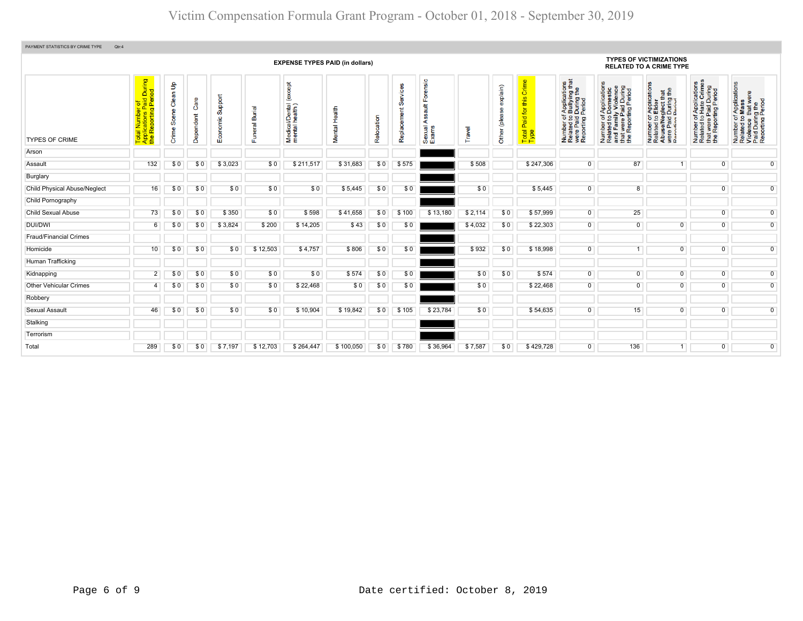| PAYMENT STATISTICS BY CRIME TYPE<br>Qtr:4 |                                                                     |                                         |                   |                     |                              |                                            |                  |            |                  |                                                                  |         |                                  |                                            |                                                                                                                                       |                                                                                                                       |                                                                                                                                                                 |                                                                                                                          |                                                                                                        |  |  |  |
|-------------------------------------------|---------------------------------------------------------------------|-----------------------------------------|-------------------|---------------------|------------------------------|--------------------------------------------|------------------|------------|------------------|------------------------------------------------------------------|---------|----------------------------------|--------------------------------------------|---------------------------------------------------------------------------------------------------------------------------------------|-----------------------------------------------------------------------------------------------------------------------|-----------------------------------------------------------------------------------------------------------------------------------------------------------------|--------------------------------------------------------------------------------------------------------------------------|--------------------------------------------------------------------------------------------------------|--|--|--|
| <b>EXPENSE TYPES PAID (in dollars)</b>    |                                                                     |                                         |                   |                     |                              |                                            |                  |            |                  |                                                                  |         |                                  |                                            | <b>TYPES OF VICTIMIZATIONS</b><br><b>RELATED TO A CRIME TYPE</b>                                                                      |                                                                                                                       |                                                                                                                                                                 |                                                                                                                          |                                                                                                        |  |  |  |
| <b>TYPES OF CRIME</b>                     | Total Number of<br>Applications Paid During<br>the Reporting Period | $\mathsf{B}$<br>Clean<br>Scene<br>Crime | Care<br>Dependent | Support<br>Economic | <b>Burial</b><br>uneral<br>ш | except<br>Medical/Dental<br>mental health) | Health<br>Mental | Relocation | Ø<br>Replacement | ensic<br>$F\circ F$<br><b>Tius</b><br>g,<br>⋖<br>Sexual<br>Exams | Travel  | explain)<br>9<br>jeald)<br>Other | Crime<br>this<br>Paid for<br>Total<br>Type | of Applications<br>b Bullying that<br>I During the<br>Period<br>Number of <i>I</i><br>Related to <b>I</b><br>were Paid<br>Reporting F | Number of Applications<br>Related to Domestic<br>and Family Violence<br>that were Paid During<br>the Reporting Period | T Applications<br><b>S</b> Elder<br>sglect that<br>During the<br>Period<br>Number of <i>I</i><br>Related to <b>E</b><br>Abuse/Neg<br>were Paid L<br>Reporting P | f Applications<br>Hate Crimes<br>were Paid During<br>Reporting Period<br>$\frac{1}{6}$<br>Number<br>Related t<br>te<br># | Number of Applications<br>Related to Mass<br>Violence that were<br>Paid During the<br>Reporting Period |  |  |  |
| Arson                                     |                                                                     |                                         |                   |                     |                              |                                            |                  |            |                  |                                                                  |         |                                  |                                            |                                                                                                                                       |                                                                                                                       |                                                                                                                                                                 |                                                                                                                          |                                                                                                        |  |  |  |
| Assault                                   | 132                                                                 | \$0                                     | \$0               | \$3,023             | \$0                          | \$211,517                                  | \$31,683         | \$0        | \$575            |                                                                  | \$508   |                                  | \$247,306                                  | $\overline{0}$                                                                                                                        | 87                                                                                                                    |                                                                                                                                                                 | $\overline{0}$                                                                                                           | $\overline{0}$                                                                                         |  |  |  |
| Burglary                                  |                                                                     |                                         |                   |                     |                              |                                            |                  |            |                  |                                                                  |         |                                  |                                            |                                                                                                                                       |                                                                                                                       |                                                                                                                                                                 |                                                                                                                          |                                                                                                        |  |  |  |
| <b>Child Physical Abuse/Neglect</b>       | 16                                                                  | \$0                                     | \$0               | \$0                 | \$0                          | \$0                                        | \$5,445          | \$0        | \$0              |                                                                  | \$0     |                                  | \$5,445                                    | $\overline{0}$                                                                                                                        | 8                                                                                                                     |                                                                                                                                                                 | $\overline{0}$                                                                                                           | $\overline{0}$                                                                                         |  |  |  |
| Child Pornography                         |                                                                     |                                         |                   |                     |                              |                                            |                  |            |                  |                                                                  |         |                                  |                                            |                                                                                                                                       |                                                                                                                       |                                                                                                                                                                 |                                                                                                                          |                                                                                                        |  |  |  |
| <b>Child Sexual Abuse</b>                 | 73                                                                  | \$0                                     | \$0               | \$350               | \$0                          | \$598                                      | \$41,658         | \$0        | \$100            | \$13,180                                                         | \$2,114 | \$0                              | \$57,999                                   | $\overline{0}$                                                                                                                        | 25                                                                                                                    |                                                                                                                                                                 | $\overline{0}$                                                                                                           | $\overline{0}$                                                                                         |  |  |  |
| DUI/DWI                                   | 6                                                                   | \$0                                     | \$0               | \$3,824             | \$200                        | \$14,205                                   | \$43             | \$0        | \$0              |                                                                  | \$4,032 | \$0                              | \$22,303                                   | 0                                                                                                                                     | $\mathbf 0$                                                                                                           | $\mathbf{0}$                                                                                                                                                    | $\overline{0}$                                                                                                           | $\overline{0}$                                                                                         |  |  |  |
| <b>Fraud/Financial Crimes</b>             |                                                                     |                                         |                   |                     |                              |                                            |                  |            |                  |                                                                  |         |                                  |                                            |                                                                                                                                       |                                                                                                                       |                                                                                                                                                                 |                                                                                                                          |                                                                                                        |  |  |  |
| Homicide                                  | 10                                                                  | \$0                                     | \$0               | \$0                 | \$12,503                     | \$4,757                                    | \$806            | \$0        | \$0              |                                                                  | \$932   | \$0                              | \$18,998                                   | 0                                                                                                                                     |                                                                                                                       | $\mathbf{0}$                                                                                                                                                    | $\overline{0}$                                                                                                           | $\overline{0}$                                                                                         |  |  |  |
| Human Trafficking                         |                                                                     |                                         |                   |                     |                              |                                            |                  |            |                  |                                                                  |         |                                  |                                            |                                                                                                                                       |                                                                                                                       |                                                                                                                                                                 |                                                                                                                          |                                                                                                        |  |  |  |
| Kidnapping                                | $\overline{2}$                                                      | \$0                                     | \$0               | \$0                 | \$0                          | \$0                                        | \$574            | \$0        | \$0              |                                                                  | \$0     | \$0                              | \$574                                      | $\overline{0}$                                                                                                                        | $\overline{0}$                                                                                                        | $\overline{0}$                                                                                                                                                  | $\overline{0}$                                                                                                           | $\overline{0}$                                                                                         |  |  |  |
| <b>Other Vehicular Crimes</b>             | 4                                                                   | \$0                                     | \$0               | \$0                 | \$0                          | \$22,468                                   | \$0              | \$0        | \$0              |                                                                  | \$0     |                                  | \$22,468                                   | $\overline{0}$                                                                                                                        | $\overline{0}$                                                                                                        | $\overline{0}$                                                                                                                                                  | $\overline{0}$                                                                                                           | $\overline{0}$                                                                                         |  |  |  |
| Robbery                                   |                                                                     |                                         |                   |                     |                              |                                            |                  |            |                  |                                                                  |         |                                  |                                            |                                                                                                                                       |                                                                                                                       |                                                                                                                                                                 |                                                                                                                          |                                                                                                        |  |  |  |
| Sexual Assault                            | 46                                                                  | \$0                                     | \$0               | \$0                 | \$0                          | \$10,904                                   | \$19,842         | \$0        | \$105            | \$23,784                                                         | \$0     |                                  | \$54,635                                   | 0                                                                                                                                     | 15                                                                                                                    | $\Omega$                                                                                                                                                        | $\overline{0}$                                                                                                           | $\overline{0}$                                                                                         |  |  |  |
| Stalking                                  |                                                                     |                                         |                   |                     |                              |                                            |                  |            |                  |                                                                  |         |                                  |                                            |                                                                                                                                       |                                                                                                                       |                                                                                                                                                                 |                                                                                                                          |                                                                                                        |  |  |  |
| Terrorism                                 |                                                                     |                                         |                   |                     |                              |                                            |                  |            |                  |                                                                  |         |                                  |                                            |                                                                                                                                       |                                                                                                                       |                                                                                                                                                                 |                                                                                                                          |                                                                                                        |  |  |  |
| Total                                     | 289                                                                 | \$0                                     | \$0               | \$7,197             | \$12,703                     | \$264,447                                  | \$100,050        | \$0        | \$780            | \$36,964                                                         | \$7,587 | \$0                              | \$429,728                                  | $\overline{0}$                                                                                                                        | 136                                                                                                                   |                                                                                                                                                                 | $\overline{0}$                                                                                                           | $\overline{0}$                                                                                         |  |  |  |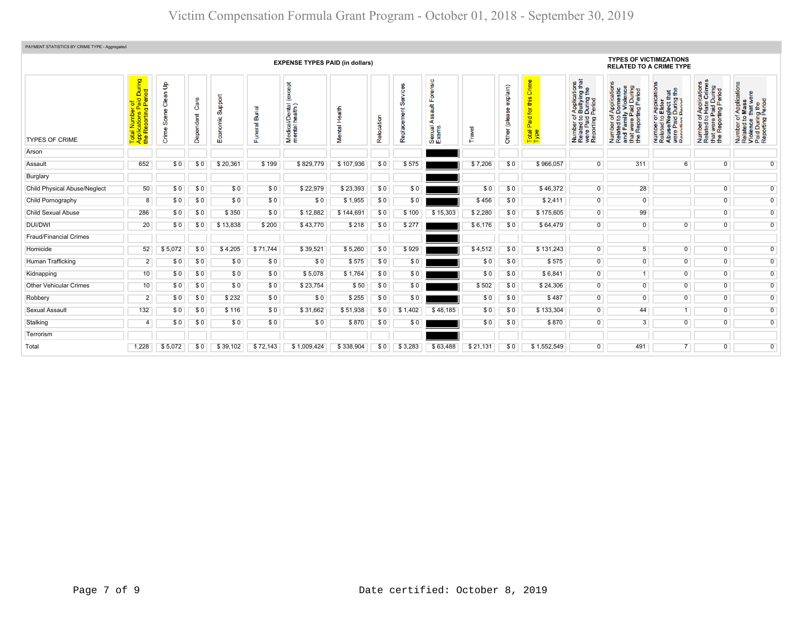| PAYMENT STATISTICS BY CRIME TYPE - Aggregated |                                                                     |                            |                   |                     |                       |                                              |                         |            |                   |                                         |          |                                         |                                                            |                                                                                                                                              |                                                                                                                                                                                                                  |                                                                                                                                                    |                                                                                                                                    |                                                                                                        |  |  |
|-----------------------------------------------|---------------------------------------------------------------------|----------------------------|-------------------|---------------------|-----------------------|----------------------------------------------|-------------------------|------------|-------------------|-----------------------------------------|----------|-----------------------------------------|------------------------------------------------------------|----------------------------------------------------------------------------------------------------------------------------------------------|------------------------------------------------------------------------------------------------------------------------------------------------------------------------------------------------------------------|----------------------------------------------------------------------------------------------------------------------------------------------------|------------------------------------------------------------------------------------------------------------------------------------|--------------------------------------------------------------------------------------------------------|--|--|
|                                               | <b>EXPENSE TYPES PAID (in dollars)</b>                              |                            |                   |                     |                       |                                              |                         |            |                   |                                         |          |                                         |                                                            | <b>TYPES OF VICTIMIZATIONS</b><br><b>RELATED TO A CRIME TYPE</b>                                                                             |                                                                                                                                                                                                                  |                                                                                                                                                    |                                                                                                                                    |                                                                                                        |  |  |
| <b>TYPES OF CRIME</b>                         | During<br>iod<br>olications Paid I<br>Reporting Peri<br><b>Pape</b> | Clean Up<br>Scene<br>Crime | Care<br>Dependent | Support<br>Economic | Burial<br>uneral<br>Œ | except<br>Medical/Dental (<br>mental health) | Health<br><b>Mental</b> | Relocation | Šĕ<br>Replacement | ensic<br>$\frac{4}{3}$<br>exual<br>மீயி | Travel   | explain)<br><b>O</b><br>please<br>Other | Crime<br>this<br>for<br>Paid <sup>-</sup><br>Total<br>Type | f Applications<br>b Bullying that<br>  During the<br>Period<br>Number of,<br>Related to I<br>were Paid I<br>Reporting F<br>Number<br>Related | f Applications<br>Domestic<br>ly Violence<br>d During<br>Period<br>ily Vic<br>Paid I<br>ting F<br>৳<br><u>ي</u><br>itad to<br>1 Famil<br>1 were I<br>Report<br>Number<br>Related<br>Rela<br>and<br>that<br>the F | ' Applications<br>Elder<br>glect that<br>During the<br>Pariod<br>$\frac{1}{2}$<br>Number of<br>Related to<br>Abuse/Neg<br>were Paid<br>Reporting I | of Applications<br>o Hate Crimes<br>· Paid During<br>rting Period<br>$\frac{1}{6}$<br>t were<br>Number<br>Related<br>that<br>the F | Number of Applications<br>Related to Mass<br>Violence that were<br>Paid During the<br>Reporting Period |  |  |
| Arson                                         |                                                                     |                            |                   |                     |                       |                                              |                         |            |                   |                                         |          |                                         |                                                            |                                                                                                                                              |                                                                                                                                                                                                                  |                                                                                                                                                    |                                                                                                                                    |                                                                                                        |  |  |
| Assault                                       | 652                                                                 | \$0                        | \$0               | \$20.361            | \$199                 | \$829,779                                    | \$107.936               | \$0        | \$575             |                                         | \$7.206  | \$0                                     | \$966.057                                                  | $\overline{0}$                                                                                                                               | 311                                                                                                                                                                                                              | 6                                                                                                                                                  | $\overline{0}$                                                                                                                     | $\overline{0}$                                                                                         |  |  |
| Burglary                                      |                                                                     |                            |                   |                     |                       |                                              |                         |            |                   |                                         |          |                                         |                                                            |                                                                                                                                              |                                                                                                                                                                                                                  |                                                                                                                                                    |                                                                                                                                    |                                                                                                        |  |  |
| <b>Child Physical Abuse/Neglect</b>           | 50                                                                  | \$0                        | \$0               | \$0                 | \$0                   | \$22,979                                     | \$23,393                | \$0        | \$0               |                                         | \$0      | \$0                                     | \$46,372                                                   | $\Omega$                                                                                                                                     | 28                                                                                                                                                                                                               |                                                                                                                                                    | $\overline{0}$                                                                                                                     | $\overline{0}$                                                                                         |  |  |
| Child Pornography                             | 8                                                                   | \$0                        | \$0               | \$0                 | \$0                   | \$0                                          | \$1,955                 | \$0        | \$0               |                                         | \$456    | \$0                                     | \$2,411                                                    | $\overline{0}$                                                                                                                               | $\overline{0}$                                                                                                                                                                                                   |                                                                                                                                                    | $\overline{0}$                                                                                                                     | $\overline{0}$                                                                                         |  |  |
| <b>Child Sexual Abuse</b>                     | 286                                                                 | \$0                        | \$0               | \$350               | \$0                   | \$12,882                                     | \$144,691               | \$0        | \$100             | \$15,303                                | \$2,280  | \$0                                     | \$175,605                                                  | $\overline{0}$                                                                                                                               | 99                                                                                                                                                                                                               |                                                                                                                                                    | $\overline{0}$                                                                                                                     | $\overline{0}$                                                                                         |  |  |
| <b>DUI/DWI</b>                                | 20                                                                  | \$0                        | \$0               | \$13,838            | \$200                 | \$43,770                                     | \$218                   | \$0        | \$277             |                                         | \$6,176  | \$0                                     | \$64,479                                                   | $\overline{0}$                                                                                                                               | $\overline{0}$                                                                                                                                                                                                   | $\overline{0}$                                                                                                                                     | $\overline{0}$                                                                                                                     | $\overline{0}$                                                                                         |  |  |
| <b>Fraud/Financial Crimes</b>                 |                                                                     |                            |                   |                     |                       |                                              |                         |            |                   |                                         |          |                                         |                                                            |                                                                                                                                              |                                                                                                                                                                                                                  |                                                                                                                                                    |                                                                                                                                    |                                                                                                        |  |  |
| Homicide                                      | 52                                                                  | \$5,072                    | \$0               | \$4,205             | \$71,744              | \$39,521                                     | \$5,260                 | \$0        | \$929             |                                         | \$4,512  | \$0                                     | \$131,243                                                  | $\overline{0}$                                                                                                                               | 5                                                                                                                                                                                                                | $\overline{0}$                                                                                                                                     | $\overline{0}$                                                                                                                     | $\overline{0}$                                                                                         |  |  |
| Human Trafficking                             | $\overline{2}$                                                      | \$0                        | \$0               | \$0                 | \$0                   | \$0                                          | \$575                   | \$0        | \$0               |                                         | \$0      | \$0                                     | \$575                                                      | $\overline{0}$                                                                                                                               | $\overline{0}$                                                                                                                                                                                                   | $\overline{0}$                                                                                                                                     | $\overline{0}$                                                                                                                     | $\overline{0}$                                                                                         |  |  |
| Kidnapping                                    | 10                                                                  | \$0                        | \$0               | \$0                 | \$0                   | \$5,078                                      | \$1,764                 | \$0        | \$0               |                                         | \$0      | \$0                                     | \$6,841                                                    | $\overline{0}$                                                                                                                               |                                                                                                                                                                                                                  | $\overline{0}$                                                                                                                                     | $\overline{0}$                                                                                                                     | $\overline{0}$                                                                                         |  |  |
| <b>Other Vehicular Crimes</b>                 | 10                                                                  | \$0                        | \$0               | \$0                 | \$0                   | \$23,754                                     | \$50                    | \$0        | \$0               |                                         | \$502    | \$0                                     | \$24,306                                                   | $\overline{0}$                                                                                                                               | $\overline{0}$                                                                                                                                                                                                   | $\overline{0}$                                                                                                                                     | $\overline{0}$                                                                                                                     | $\overline{0}$                                                                                         |  |  |
| Robbery                                       | $\overline{2}$                                                      | \$0                        | \$0               | \$232               | \$0                   | \$0                                          | \$255                   | \$0        | \$0               |                                         | \$0      | \$0                                     | \$487                                                      | $\overline{0}$                                                                                                                               | $\overline{0}$                                                                                                                                                                                                   | $\overline{0}$                                                                                                                                     | $\overline{0}$                                                                                                                     | $\overline{0}$                                                                                         |  |  |
| <b>Sexual Assault</b>                         | 132                                                                 | \$0                        | \$0               | \$116               | \$0                   | \$31,662                                     | \$51,938                | \$0        | \$1,402           | \$48,185                                | \$0      | \$0                                     | \$133,304                                                  | $\overline{0}$                                                                                                                               | 44                                                                                                                                                                                                               | 1                                                                                                                                                  | $\overline{0}$                                                                                                                     | $\overline{0}$                                                                                         |  |  |
| Stalking                                      | 4                                                                   | \$0                        | \$0               | \$0                 | \$0                   | \$0                                          | \$870                   | \$0        | \$0               |                                         | \$0      | \$0                                     | \$870                                                      | $\overline{0}$                                                                                                                               | 3                                                                                                                                                                                                                | $\overline{0}$                                                                                                                                     | $\overline{0}$                                                                                                                     | $\overline{0}$                                                                                         |  |  |
| Terrorism                                     |                                                                     |                            |                   |                     |                       |                                              |                         |            |                   |                                         |          |                                         |                                                            |                                                                                                                                              |                                                                                                                                                                                                                  |                                                                                                                                                    |                                                                                                                                    |                                                                                                        |  |  |
| Total                                         | 1.228                                                               | \$5,072                    | \$0               | \$39,102            | \$72,143              | \$1,009,424                                  | \$338,904               | \$0        | \$3,283           | \$63,488                                | \$21,131 | \$0                                     | \$1.552.549                                                | $\overline{0}$                                                                                                                               | 491                                                                                                                                                                                                              | $\overline{7}$                                                                                                                                     | $\overline{0}$                                                                                                                     | $\overline{0}$                                                                                         |  |  |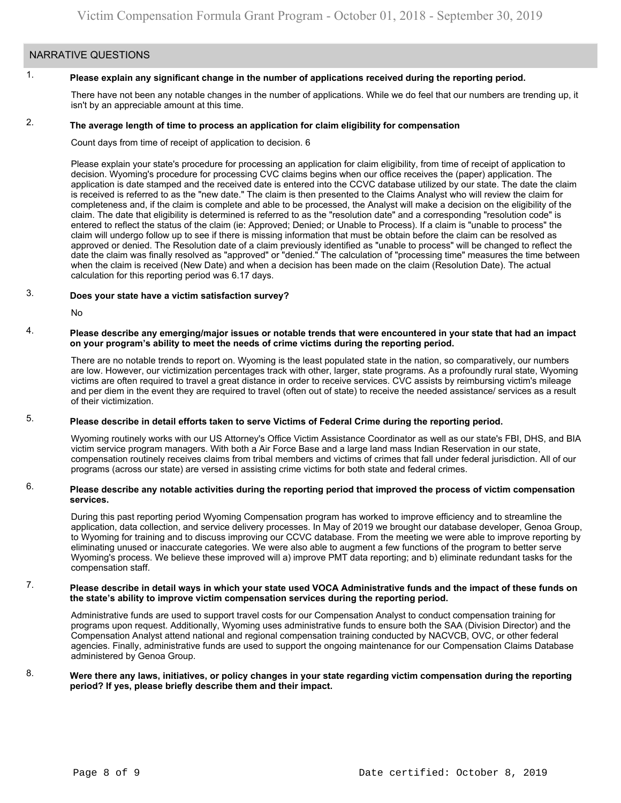# NARRATIVE QUESTIONS

#### 1. **Please explain any significant change in the number of applications received during the reporting period.**

There have not been any notable changes in the number of applications. While we do feel that our numbers are trending up, it isn't by an appreciable amount at this time.

#### 2. **The average length of time to process an application for claim eligibility for compensation**

Count days from time of receipt of application to decision. 6

Please explain your state's procedure for processing an application for claim eligibility, from time of receipt of application to decision. Wyoming's procedure for processing CVC claims begins when our office receives the (paper) application. The application is date stamped and the received date is entered into the CCVC database utilized by our state. The date the claim is received is referred to as the "new date." The claim is then presented to the Claims Analyst who will review the claim for completeness and, if the claim is complete and able to be processed, the Analyst will make a decision on the eligibility of the claim. The date that eligibility is determined is referred to as the "resolution date" and a corresponding "resolution code" is entered to reflect the status of the claim (ie: Approved; Denied; or Unable to Process). If a claim is "unable to process" the claim will undergo follow up to see if there is missing information that must be obtain before the claim can be resolved as approved or denied. The Resolution date of a claim previously identified as "unable to process" will be changed to reflect the date the claim was finally resolved as "approved" or "denied." The calculation of "processing time" measures the time between when the claim is received (New Date) and when a decision has been made on the claim (Resolution Date). The actual calculation for this reporting period was 6.17 days.

#### 3. **Does your state have a victim satisfaction survey?**

No

### 4. **Please describe any emerging/major issues or notable trends that were encountered in your state that had an impact on your program's ability to meet the needs of crime victims during the reporting period.**

There are no notable trends to report on. Wyoming is the least populated state in the nation, so comparatively, our numbers are low. However, our victimization percentages track with other, larger, state programs. As a profoundly rural state, Wyoming victims are often required to travel a great distance in order to receive services. CVC assists by reimbursing victim's mileage and per diem in the event they are required to travel (often out of state) to receive the needed assistance/ services as a result of their victimization.

#### 5. **Please describe in detail efforts taken to serve Victims of Federal Crime during the reporting period.**

Wyoming routinely works with our US Attorney's Office Victim Assistance Coordinator as well as our state's FBI, DHS, and BIA victim service program managers. With both a Air Force Base and a large land mass Indian Reservation in our state, compensation routinely receives claims from tribal members and victims of crimes that fall under federal jurisdiction. All of our programs (across our state) are versed in assisting crime victims for both state and federal crimes.

## 6. **Please describe any notable activities during the reporting period that improved the process of victim compensation services.**

During this past reporting period Wyoming Compensation program has worked to improve efficiency and to streamline the application, data collection, and service delivery processes. In May of 2019 we brought our database developer, Genoa Group, to Wyoming for training and to discuss improving our CCVC database. From the meeting we were able to improve reporting by eliminating unused or inaccurate categories. We were also able to augment a few functions of the program to better serve Wyoming's process. We believe these improved will a) improve PMT data reporting; and b) eliminate redundant tasks for the compensation staff.

## 7. **Please describe in detail ways in which your state used VOCA Administrative funds and the impact of these funds on the state's ability to improve victim compensation services during the reporting period.**

Administrative funds are used to support travel costs for our Compensation Analyst to conduct compensation training for programs upon request. Additionally, Wyoming uses administrative funds to ensure both the SAA (Division Director) and the Compensation Analyst attend national and regional compensation training conducted by NACVCB, OVC, or other federal agencies. Finally, administrative funds are used to support the ongoing maintenance for our Compensation Claims Database administered by Genoa Group.

## 8. **Were there any laws, initiatives, or policy changes in your state regarding victim compensation during the reporting period? If yes, please briefly describe them and their impact.**